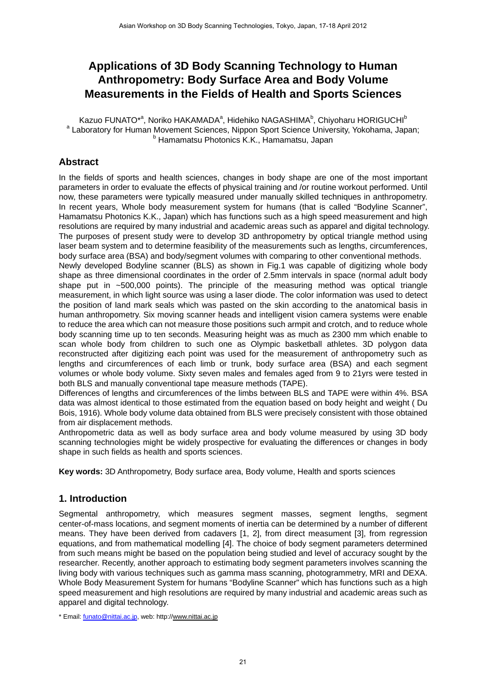# **Applications of 3D Body Scanning Technology to Human Anthropometry: Body Surface Area and Body Volume Measurements in the Fields of Health and Sports Sciences**

Kazuo FUNATO\*<sup>a</sup>, Noriko HAKAMADA<sup>a</sup>, Hidehiko NAGASHIMA<sup>b</sup>, Chiyoharu HORIGUCHI<sup>b</sup> <sup>a</sup> Laboratory for Human Movement Sciences, Nippon Sport Science University, Yokohama, Japan; b Hamamatsu Photonics K.K., Hamamatsu, Japan

## **Abstract**

In the fields of sports and health sciences, changes in body shape are one of the most important parameters in order to evaluate the effects of physical training and /or routine workout performed. Until now, these parameters were typically measured under manually skilled techniques in anthropometry. In recent years, Whole body measurement system for humans (that is called "Bodyline Scanner", Hamamatsu Photonics K.K., Japan) which has functions such as a high speed measurement and high resolutions are required by many industrial and academic areas such as apparel and digital technology. The purposes of present study were to develop 3D anthropometry by optical triangle method using laser beam system and to determine feasibility of the measurements such as lengths, circumferences, body surface area (BSA) and body/segment volumes with comparing to other conventional methods.

Newly developed Bodyline scanner (BLS) as shown in Fig.1 was capable of digitizing whole body shape as three dimensional coordinates in the order of 2.5mm intervals in space (normal adult body shape put in ~500,000 points). The principle of the measuring method was optical triangle measurement, in which light source was using a laser diode. The color information was used to detect the position of land mark seals which was pasted on the skin according to the anatomical basis in human anthropometry. Six moving scanner heads and intelligent vision camera systems were enable to reduce the area which can not measure those positions such armpit and crotch, and to reduce whole body scanning time up to ten seconds. Measuring height was as much as 2300 mm which enable to scan whole body from children to such one as Olympic basketball athletes. 3D polygon data reconstructed after digitizing each point was used for the measurement of anthropometry such as lengths and circumferences of each limb or trunk, body surface area (BSA) and each segment volumes or whole body volume. Sixty seven males and females aged from 9 to 21yrs were tested in both BLS and manually conventional tape measure methods (TAPE).

Differences of lengths and circumferences of the limbs between BLS and TAPE were within 4%. BSA data was almost identical to those estimated from the equation based on body height and weight ( Du Bois, 1916). Whole body volume data obtained from BLS were precisely consistent with those obtained from air displacement methods.

Anthropometric data as well as body surface area and body volume measured by using 3D body scanning technologies might be widely prospective for evaluating the differences or changes in body shape in such fields as health and sports sciences.

**Key words:** 3D Anthropometry, Body surface area, Body volume, Health and sports sciences

## **1. Introduction**

Segmental anthropometry, which measures segment masses, segment lengths, segment center-of-mass locations, and segment moments of inertia can be determined by a number of different means. They have been derived from cadavers [1, 2], from direct measument [3], from regression equations, and from mathematical modelling [4]. The choice of body segment parameters determined from such means might be based on the population being studied and level of accuracy sought by the researcher. Recently, another approach to estimating body segment parameters involves scanning the living body with various techniques such as gamma mass scanning, photogrammetry, MRI and DEXA. Whole Body Measurement System for humans "Bodyline Scanner" which has functions such as a high speed measurement and high resolutions are required by many industrial and academic areas such as apparel and digital technology.

\* Email: funato@nittai.ac.jp, web: http://www.nittai.ac.jp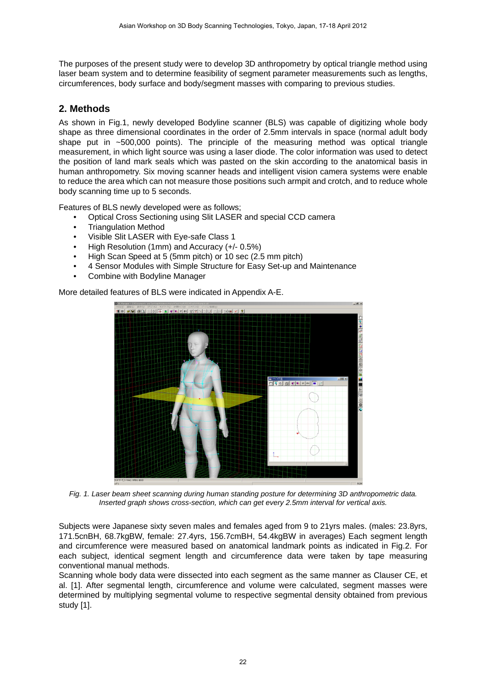The purposes of the present study were to develop 3D anthropometry by optical triangle method using laser beam system and to determine feasibility of segment parameter measurements such as lengths, circumferences, body surface and body/segment masses with comparing to previous studies.

### **2. Methods**

As shown in Fig.1, newly developed Bodyline scanner (BLS) was capable of digitizing whole body shape as three dimensional coordinates in the order of 2.5mm intervals in space (normal adult body shape put in ~500,000 points). The principle of the measuring method was optical triangle measurement, in which light source was using a laser diode. The color information was used to detect the position of land mark seals which was pasted on the skin according to the anatomical basis in human anthropometry. Six moving scanner heads and intelligent vision camera systems were enable to reduce the area which can not measure those positions such armpit and crotch, and to reduce whole body scanning time up to 5 seconds.

Features of BLS newly developed were as follows;

- Optical Cross Sectioning using Slit LASER and special CCD camera
- Triangulation Method
- Visible Slit LASER with Eye-safe Class 1
- High Resolution (1mm) and Accuracy (+/- 0.5%)
- High Scan Speed at 5 (5mm pitch) or 10 sec (2.5 mm pitch)
- 4 Sensor Modules with Simple Structure for Easy Set-up and Maintenance
- Combine with Bodyline Manager

More detailed features of BLS were indicated in Appendix A-E.



*Fig. 1. Laser beam sheet scanning during human standing posture for determining 3D anthropometric data. Inserted graph shows cross-section, which can get every 2.5mm interval for vertical axis.* 

Subjects were Japanese sixty seven males and females aged from 9 to 21yrs males. (males: 23.8yrs, 171.5cnBH, 68.7kgBW, female: 27.4yrs, 156.7cmBH, 54.4kgBW in averages) Each segment length and circumference were measured based on anatomical landmark points as indicated in Fig.2. For each subject, identical segment length and circumference data were taken by tape measuring conventional manual methods.

Scanning whole body data were dissected into each segment as the same manner as Clauser CE, et al. [1]. After segmental length, circumference and volume were calculated, segment masses were determined by multiplying segmental volume to respective segmental density obtained from previous study [1].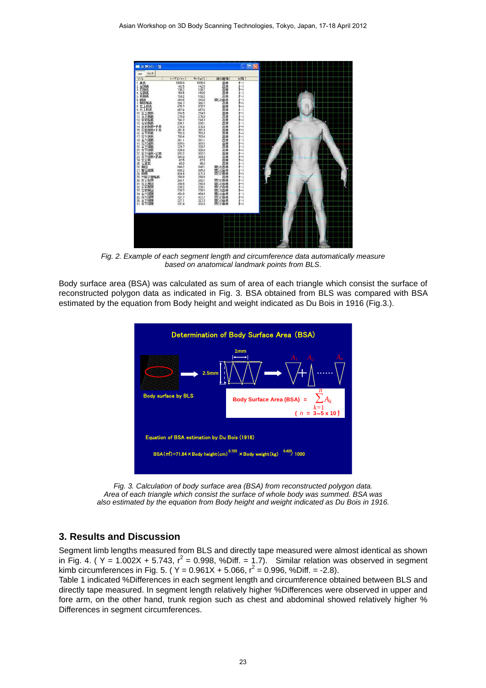

*Fig. 2. Example of each segment length and circumference data automatically measure based on anatomical landmark points from BLS*.

Body surface area (BSA) was calculated as sum of area of each triangle which consist the surface of reconstructed polygon data as indicated in Fig. 3. BSA obtained from BLS was compared with BSA estimated by the equation from Body height and weight indicated as Du Bois in 1916 (Fig.3.).



*Fig. 3. Calculation of body surface area (BSA) from reconstructed polygon data. Area of each triangle which consist the surface of whole body was summed. BSA was also estimated by the equation from Body height and weight indicated as Du Bois in 1916.* 

#### **3. Results and Discussion**

Segment limb lengths measured from BLS and directly tape measured were almost identical as shown in Fig. 4. (  $Y = 1.002X + 5.743$ ,  $r^2 = 0.998$ , %Diff. = 1.7). Similar relation was observed in segment kimb circumferences in Fig. 5. ( $Y = 0.961X + 5.066$ ,  $r^2 = 0.996$ , %Diff. = -2.8).

Table 1 indicated %Differences in each segment length and circumference obtained between BLS and directly tape measured. In segment length relatively higher %Differences were observed in upper and fore arm, on the other hand, trunk region such as chest and abdominal showed relatively higher % Differences in segment circumferences.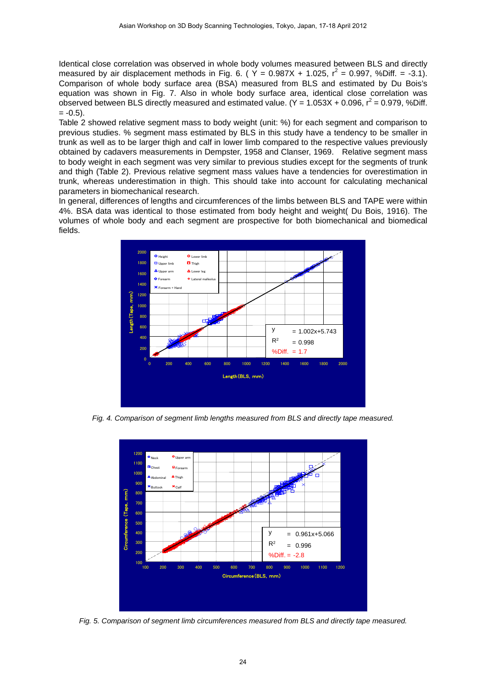Identical close correlation was observed in whole body volumes measured between BLS and directly measured by air displacement methods in Fig. 6. (  $\Upsilon$  = 0.987X + 1.025,  $r^2$  = 0.997, %Diff. = -3.1). Comparison of whole body surface area (BSA) measured from BLS and estimated by Du Bois's equation was shown in Fig. 7. Also in whole body surface area, identical close correlation was observed between BLS directly measured and estimated value.  $(Y = 1.053X + 0.096, r^2 = 0.979, %Diff.$  $= -0.5$ ).

Table 2 showed relative segment mass to body weight (unit: %) for each segment and comparison to previous studies. % segment mass estimated by BLS in this study have a tendency to be smaller in trunk as well as to be larger thigh and calf in lower limb compared to the respective values previously obtained by cadavers measurements in Dempster, 1958 and Clanser, 1969. Relative segment mass to body weight in each segment was very similar to previous studies except for the segments of trunk and thigh (Table 2). Previous relative segment mass values have a tendencies for overestimation in trunk, whereas underestimation in thigh. This should take into account for calculating mechanical parameters in biomechanical research.

In general, differences of lengths and circumferences of the limbs between BLS and TAPE were within 4%. BSA data was identical to those estimated from body height and weight( Du Bois, 1916). The volumes of whole body and each segment are prospective for both biomechanical and biomedical fields.



*Fig. 4. Comparison of segment limb lengths measured from BLS and directly tape measured.* 



*Fig. 5. Comparison of segment limb circumferences measured from BLS and directly tape measured.*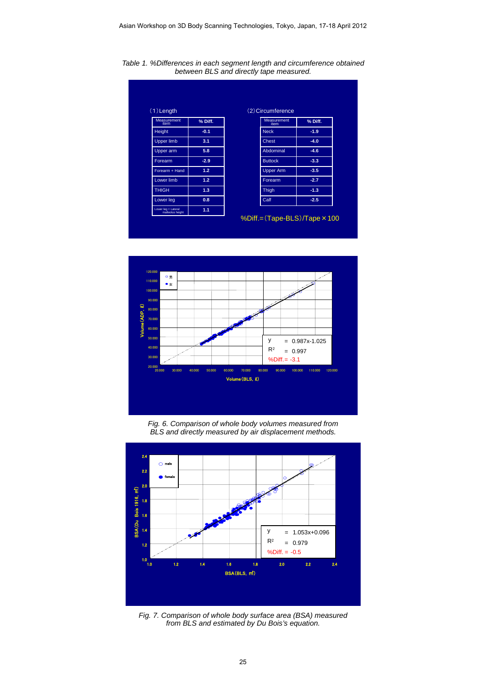

*Table 1. %Differences in each segment length and circumference obtained between BLS and directly tape measured.* 

%Diff.=(Tape-BLS)/Tape×100



*Fig. 6. Comparison of whole body volumes measured from BLS and directly measured by air displacement methods.*



*Fig. 7. Comparison of whole body surface area (BSA) measured from BLS and estimated by Du Bois's equation.*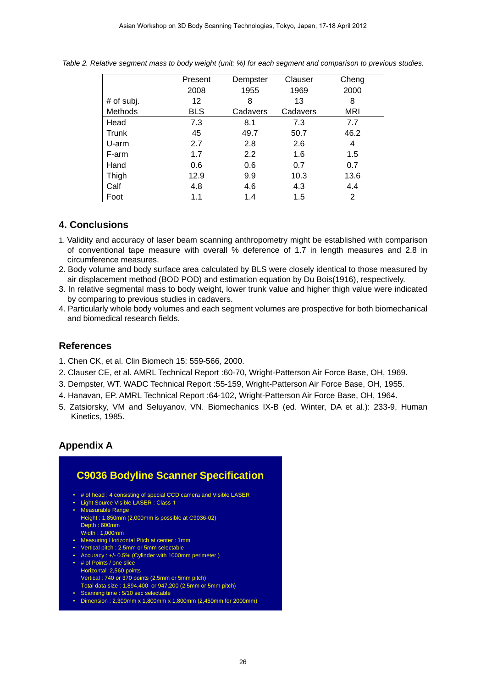|                | Present    | Dempster | Clauser  | Cheng      |
|----------------|------------|----------|----------|------------|
|                | 2008       | 1955     | 1969     | 2000       |
| $#$ of subj.   | 12         | 8        | 13       | 8          |
| <b>Methods</b> | <b>BLS</b> | Cadavers | Cadavers | <b>MRI</b> |
| Head           | 7.3        | 8.1      | 7.3      | 7.7        |
| Trunk          | 45         | 49.7     | 50.7     | 46.2       |
| U-arm          | 2.7        | 2.8      | 2.6      | 4          |
| F-arm          | 1.7        | 2.2      | 1.6      | 1.5        |
| Hand           | 0.6        | 0.6      | 0.7      | 0.7        |
| Thigh          | 12.9       | 9.9      | 10.3     | 13.6       |
| Calf           | 4.8        | 4.6      | 4.3      | 4.4        |
| Foot           | 1.1        | 1.4      | 1.5      | 2          |

*Table 2. Relative segment mass to body weight (unit: %) for each segment and comparison to previous studies.* 

### **4. Conclusions**

- 1. Validity and accuracy of laser beam scanning anthropometry might be established with comparison of conventional tape measure with overall % deference of 1.7 in length measures and 2.8 in circumference measures.
- 2. Body volume and body surface area calculated by BLS were closely identical to those measured by air displacement method (BOD POD) and estimation equation by Du Bois(1916), respectively.
- 3. In relative segmental mass to body weight, lower trunk value and higher thigh value were indicated by comparing to previous studies in cadavers.
- 4. Particularly whole body volumes and each segment volumes are prospective for both biomechanical and biomedical research fields.

#### **References**

- 1. Chen CK, et al. Clin Biomech 15: 559-566, 2000.
- 2. Clauser CE, et al. AMRL Technical Report :60-70, Wright-Patterson Air Force Base, OH, 1969.
- 3. Dempster, WT. WADC Technical Report :55-159, Wright-Patterson Air Force Base, OH, 1955.
- 4. Hanavan, EP. AMRL Technical Report :64-102, Wright-Patterson Air Force Base, OH, 1964.
- 5. Zatsiorsky, VM and Seluyanov, VN. Biomechanics IX-B (ed. Winter, DA et al.): 233-9, Human Kinetics, 1985.

#### **Appendix A**

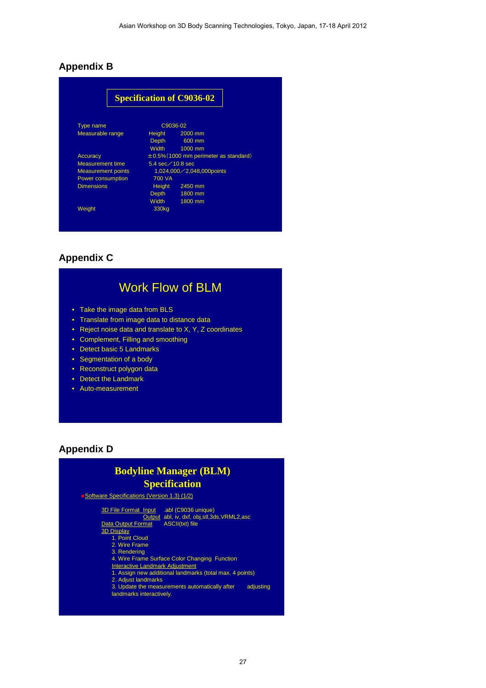## **Appendix B**

|                           |                                             | <b>Specification of C9036-02</b>     |  |
|---------------------------|---------------------------------------------|--------------------------------------|--|
| <b>Type name</b>          | C9036-02                                    |                                      |  |
| Measurable range          | Height                                      | 2000 mm                              |  |
|                           | Depth                                       | 600 mm                               |  |
|                           | Width                                       | 1000 mm                              |  |
| <b>Accuracy</b>           | $\pm 0.5\%$ (1000 mm perimeter as standard) |                                      |  |
| Measurement time          | 5.4 sec $\angle$ 10.8 sec                   |                                      |  |
| <b>Measurement points</b> |                                             | $1,024,000 \diagup 2,048,000$ points |  |
| Power consumption         | 700 VA                                      |                                      |  |
| <b>Dimensions</b>         | <b>Height</b>                               | 2450 mm                              |  |
|                           | Depth                                       | 1800 mm                              |  |
|                           | Width                                       | 1800 mm                              |  |
| Weight                    | 330kg                                       |                                      |  |

## **Appendix C**

# Work Flow of BLM

- Take the image data from BLS
- Translate from image data to distance data
- Reject noise data and translate to X, Y, Z coordinates
- Complement, Filling and smoothing
- Detect basic 5 Landmarks
- Segmentation of a body
- Reconstruct polygon data
- Detect the Landmark
- Auto-measurement

#### **Appendix D**

## **Bodyline Manager (BLM) Specification**

#### ◆ Software Specifications (Version 1.3) (1/2)

3D File Format Input .abl (C9036 unique) Output abl, iv, dxf, obj,stl,3ds,VRML2,asc Data Output Format ASCII(txt) file 3D Display 1. Point Cloud 2. Wire Frame 3. Rendering 4. Wire Frame Surface Color Changing Function **Interactive Landmark Adjustment** 1. Assign new additional landmarks (total max. 4 points) 2. Adjust landmarks 3. Update the measurements automatically after adjusting landmarks interactively.